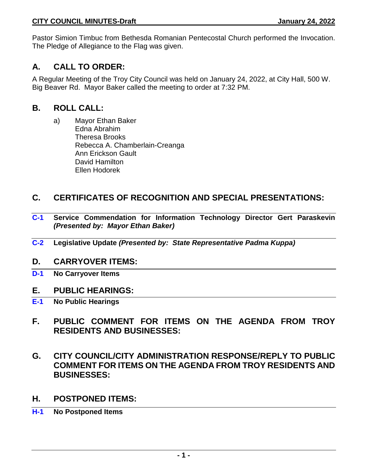Pastor Simion Timbuc from Bethesda Romanian Pentecostal Church performed the Invocation. The Pledge of Allegiance to the Flag was given.

# **A. CALL TO ORDER:**

A Regular Meeting of the Troy City Council was held on January 24, 2022, at City Hall, 500 W. Big Beaver Rd. Mayor Baker called the meeting to order at 7:32 PM.

# **B. ROLL CALL:**

a) Mayor Ethan Baker Edna Abrahim Theresa Brooks Rebecca A. Chamberlain-Creanga Ann Erickson Gault David Hamilton Ellen Hodorek

# **C. CERTIFICATES OF RECOGNITION AND SPECIAL PRESENTATIONS:**

- **C-1 Service Commendation for Information Technology Director Gert Paraskevin**  *(Presented by: Mayor Ethan Baker)*
- **C-2 Legislative Update** *(Presented by: State Representative Padma Kuppa)*

# **D. CARRYOVER ITEMS:**

**D-1 No Carryover Items**

# **E. PUBLIC HEARINGS:**

- **E-1 No Public Hearings**
- **F. PUBLIC COMMENT FOR ITEMS ON THE AGENDA FROM TROY RESIDENTS AND BUSINESSES:**
- **G. CITY COUNCIL/CITY ADMINISTRATION RESPONSE/REPLY TO PUBLIC COMMENT FOR ITEMS ON THE AGENDA FROM TROY RESIDENTS AND BUSINESSES:**
- **H. POSTPONED ITEMS:**
- **H-1 No Postponed Items**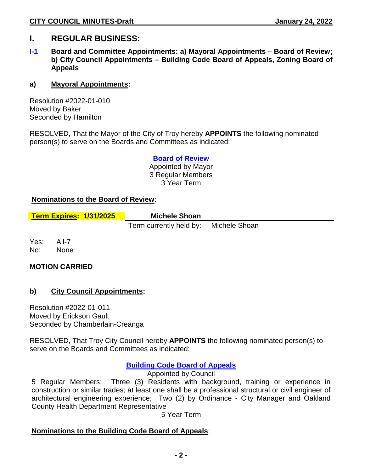# **I. REGULAR BUSINESS:**

### **I-1 Board and Committee Appointments: a) Mayoral Appointments – Board of Review; b) City Council Appointments – Building Code Board of Appeals, Zoning Board of Appeals**

#### **a) Mayoral Appointments:**

Resolution #2022-01-010 Moved by Baker Seconded by Hamilton

RESOLVED, That the Mayor of the City of Troy hereby **APPOINTS** the following nominated person(s) to serve on the Boards and Committees as indicated:

> **Board of Review** Appointed by Mayor 3 Regular Members 3 Year Term

#### **Nominations to the Board of Review**:

| <b>Term Expires: 1/31/2025</b> | <b>Michele Shoan</b>                  |  |
|--------------------------------|---------------------------------------|--|
|                                | Term currently held by: Michele Shoan |  |

Yes: All-7 No: None

### **MOTION CARRIED**

### **b) City Council Appointments:**

Resolution #2022-01-011 Moved by Erickson Gault Seconded by Chamberlain-Creanga

RESOLVED, That Troy City Council hereby **APPOINTS** the following nominated person(s) to serve on the Boards and Committees as indicated:

### **Building Code Board of Appeals**

Appointed by Council

5 Regular Members: Three (3) Residents with background, training or experience in construction or similar trades; at least one shall be a professional structural or civil engineer of architectural engineering experience; Two (2) by Ordinance - City Manager and Oakland County Health Department Representative

5 Year Term

### **Nominations to the Building Code Board of Appeals**: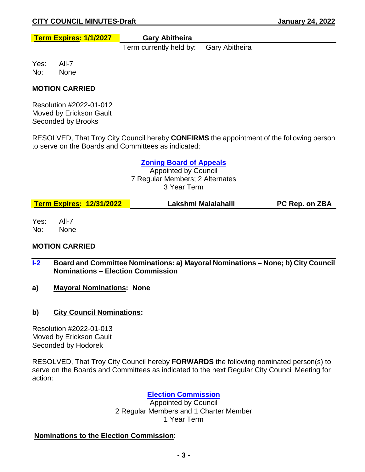**Term Expires: 1/1/2027 Gary Abitheira**

Term currently held by: Gary Abitheira

Yes: All-7 No: None

### **MOTION CARRIED**

Resolution #2022-01-012 Moved by Erickson Gault Seconded by Brooks

RESOLVED, That Troy City Council hereby **CONFIRMS** the appointment of the following person to serve on the Boards and Committees as indicated:

#### **Zoning Board of Appeals**

Appointed by Council 7 Regular Members; 2 Alternates 3 Year Term

| Lakshmi Malalahalli<br><b>Term Expires: 12/31/2022</b><br><b>PC Rep. on ZBA</b> |
|---------------------------------------------------------------------------------|
|---------------------------------------------------------------------------------|

Yes: All-7 No: None

# **MOTION CARRIED**

- **I-2 Board and Committee Nominations: a) Mayoral Nominations – None; b) City Council Nominations – Election Commission**
- **a) Mayoral Nominations: None**
- **b) City Council Nominations:**

Resolution #2022-01-013 Moved by Erickson Gault Seconded by Hodorek

RESOLVED, That Troy City Council hereby **FORWARDS** the following nominated person(s) to serve on the Boards and Committees as indicated to the next Regular City Council Meeting for action:

### **Election Commission**

Appointed by Council 2 Regular Members and 1 Charter Member 1 Year Term

### **Nominations to the Election Commission**: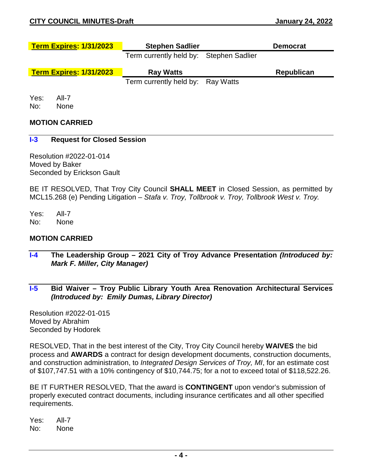| <b>Term Expires: 1/31/2023</b> | <b>Stephen Sadlier</b>                  | <b>Democrat</b>   |  |  |
|--------------------------------|-----------------------------------------|-------------------|--|--|
|                                | Term currently held by: Stephen Sadlier |                   |  |  |
| <b>Term Expires: 1/31/2023</b> | <b>Ray Watts</b>                        | <b>Republican</b> |  |  |
|                                | Term currently held by: Ray Watts       |                   |  |  |
|                                |                                         |                   |  |  |

No: None

#### **MOTION CARRIED**

#### **I-3 Request for Closed Session**

Resolution #2022-01-014 Moved by Baker Seconded by Erickson Gault

BE IT RESOLVED, That Troy City Council **SHALL MEET** in Closed Session, as permitted by MCL15.268 (e) Pending Litigation – *Stafa v. Troy, Tollbrook v. Troy, Tollbrook West v. Troy.*

Yes: All-7 No: None

#### **MOTION CARRIED**

- **I-4 The Leadership Group – 2021 City of Troy Advance Presentation** *(Introduced by: Mark F. Miller, City Manager)*
- **I-5 Bid Waiver – Troy Public Library Youth Area Renovation Architectural Services** *(Introduced by: Emily Dumas, Library Director)*

Resolution #2022-01-015 Moved by Abrahim Seconded by Hodorek

RESOLVED, That in the best interest of the City, Troy City Council hereby **WAIVES** the bid process and **AWARDS** a contract for design development documents, construction documents, and construction administration, to *Integrated Design Services of Troy, MI*, for an estimate cost of \$107,747.51 with a 10% contingency of \$10,744.75; for a not to exceed total of \$118,522.26.

BE IT FURTHER RESOLVED, That the award is **CONTINGENT** upon vendor's submission of properly executed contract documents, including insurance certificates and all other specified requirements.

Yes: All-7 No: None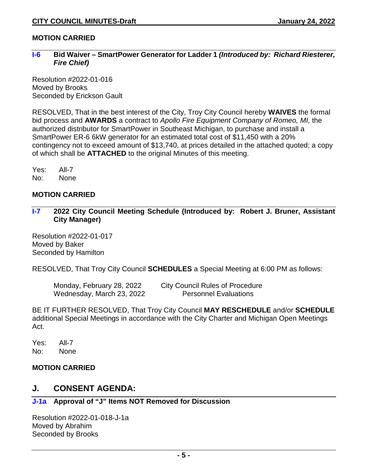## **MOTION CARRIED**

#### **I-6 Bid Waiver – SmartPower Generator for Ladder 1** *(Introduced by: Richard Riesterer, Fire Chief)*

Resolution #2022-01-016 Moved by Brooks Seconded by Erickson Gault

RESOLVED, That in the best interest of the City, Troy City Council hereby **WAIVES** the formal bid process and **AWARDS** a contract to *Apollo Fire Equipment Company of Romeo, MI,* the authorized distributor for SmartPower in Southeast Michigan, to purchase and install a SmartPower ER-6 6kW generator for an estimated total cost of \$11,450 with a 20% contingency not to exceed amount of \$13,740, at prices detailed in the attached quoted; a copy of which shall be **ATTACHED** to the original Minutes of this meeting.

Yes: All-7 No: None

### **MOTION CARRIED**

**I-7 2022 City Council Meeting Schedule (Introduced by: Robert J. Bruner, Assistant City Manager)** 

Resolution #2022-01-017 Moved by Baker Seconded by Hamilton

RESOLVED, That Troy City Council **SCHEDULES** a Special Meeting at 6:00 PM as follows:

Wednesday, March 23, 2022 Personnel Evaluations

Monday, February 28, 2022 City Council Rules of Procedure

BE IT FURTHER RESOLVED, That Troy City Council **MAY RESCHEDULE** and/or **SCHEDULE** additional Special Meetings in accordance with the City Charter and Michigan Open Meetings Act.

Yes: All-7 No: None

# **MOTION CARRIED**

# **J. CONSENT AGENDA:**

### **J-1a Approval of "J" Items NOT Removed for Discussion**

Resolution #2022-01-018-J-1a Moved by Abrahim Seconded by Brooks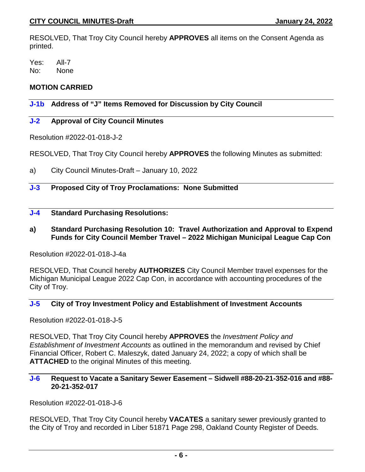RESOLVED, That Troy City Council hereby **APPROVES** all items on the Consent Agenda as printed.

Yes: All-7 No: None

# **MOTION CARRIED**

# **J-1b Address of "J" Items Removed for Discussion by City Council**

### **J-2 Approval of City Council Minutes**

Resolution #2022-01-018-J-2

RESOLVED, That Troy City Council hereby **APPROVES** the following Minutes as submitted:

a) City Council Minutes-Draft – January 10, 2022

# **J-3 Proposed City of Troy Proclamations: None Submitted**

# **J-4 Standard Purchasing Resolutions:**

**a) Standard Purchasing Resolution 10: Travel Authorization and Approval to Expend Funds for City Council Member Travel – 2022 Michigan Municipal League Cap Con**

Resolution #2022-01-018-J-4a

RESOLVED, That Council hereby **AUTHORIZES** City Council Member travel expenses for the Michigan Municipal League 2022 Cap Con, in accordance with accounting procedures of the City of Troy.

## **J-5 City of Troy Investment Policy and Establishment of Investment Accounts**

Resolution #2022-01-018-J-5

RESOLVED, That Troy City Council hereby **APPROVES** the *Investment Policy and Establishment of Investment Accounts* as outlined in the memorandum and revised by Chief Financial Officer, Robert C. Maleszyk, dated January 24, 2022; a copy of which shall be **ATTACHED** to the original Minutes of this meeting.

#### **J-6 Request to Vacate a Sanitary Sewer Easement – Sidwell #88-20-21-352-016 and #88- 20-21-352-017**

Resolution #2022-01-018-J-6

RESOLVED, That Troy City Council hereby **VACATES** a sanitary sewer previously granted to the City of Troy and recorded in Liber 51871 Page 298, Oakland County Register of Deeds.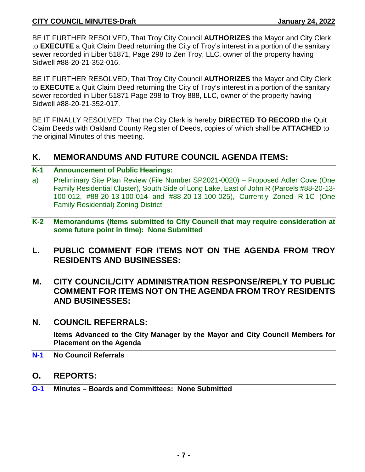BE IT FURTHER RESOLVED, That Troy City Council **AUTHORIZES** the Mayor and City Clerk to **EXECUTE** a Quit Claim Deed returning the City of Troy's interest in a portion of the sanitary sewer recorded in Liber 51871, Page 298 to Zen Troy, LLC, owner of the property having Sidwell #88-20-21-352-016.

BE IT FURTHER RESOLVED, That Troy City Council **AUTHORIZES** the Mayor and City Clerk to **EXECUTE** a Quit Claim Deed returning the City of Troy's interest in a portion of the sanitary sewer recorded in Liber 51871 Page 298 to Troy 888, LLC, owner of the property having Sidwell #88-20-21-352-017.

BE IT FINALLY RESOLVED, That the City Clerk is hereby **DIRECTED TO RECORD** the Quit Claim Deeds with Oakland County Register of Deeds, copies of which shall be **ATTACHED** to the original Minutes of this meeting.

# **K. MEMORANDUMS AND FUTURE COUNCIL AGENDA ITEMS:**

### **K-1 Announcement of Public Hearings:**

- a) Preliminary Site Plan Review (File Number SP2021-0020) Proposed Adler Cove (One Family Residential Cluster), South Side of Long Lake, East of John R (Parcels #88-20-13- 100-012, #88-20-13-100-014 and #88-20-13-100-025), Currently Zoned R-1C (One Family Residential) Zoning District
- **K-2 Memorandums (Items submitted to City Council that may require consideration at some future point in time): None Submitted**
- **L. PUBLIC COMMENT FOR ITEMS NOT ON THE AGENDA FROM TROY RESIDENTS AND BUSINESSES:**
- **M. CITY COUNCIL/CITY ADMINISTRATION RESPONSE/REPLY TO PUBLIC COMMENT FOR ITEMS NOT ON THE AGENDA FROM TROY RESIDENTS AND BUSINESSES:**
- **N. COUNCIL REFERRALS:**

**Items Advanced to the City Manager by the Mayor and City Council Members for Placement on the Agenda**

- **N-1 No Council Referrals**
- **O. REPORTS:**
- **O-1 Minutes – Boards and Committees: None Submitted**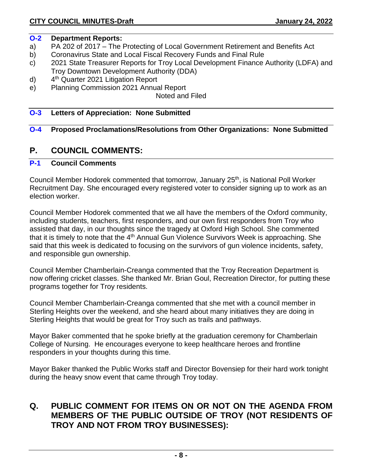## **O-2 Department Reports:**

- a) PA 202 of 2017 The Protecting of Local Government Retirement and Benefits Act
- b) Coronavirus State and Local Fiscal Recovery Funds and Final Rule
- c) 2021 State Treasurer Reports for Troy Local Development Finance Authority (LDFA) and Troy Downtown Development Authority (DDA)
- d) 4th Quarter 2021 Litigation Report
- e) Planning Commission 2021 Annual Report

Noted and Filed

## **O-3 Letters of Appreciation: None Submitted**

# **O-4 Proposed Proclamations/Resolutions from Other Organizations: None Submitted**

# **P. COUNCIL COMMENTS:**

# **P-1 Council Comments**

Council Member Hodorek commented that tomorrow, January 25<sup>th</sup>, is National Poll Worker Recruitment Day. She encouraged every registered voter to consider signing up to work as an election worker.

Council Member Hodorek commented that we all have the members of the Oxford community, including students, teachers, first responders, and our own first responders from Troy who assisted that day, in our thoughts since the tragedy at Oxford High School. She commented that it is timely to note that the 4th Annual Gun Violence Survivors Week is approaching. She said that this week is dedicated to focusing on the survivors of gun violence incidents, safety, and responsible gun ownership.

Council Member Chamberlain-Creanga commented that the Troy Recreation Department is now offering cricket classes. She thanked Mr. Brian Goul, Recreation Director, for putting these programs together for Troy residents.

Council Member Chamberlain-Creanga commented that she met with a council member in Sterling Heights over the weekend, and she heard about many initiatives they are doing in Sterling Heights that would be great for Troy such as trails and pathways.

Mayor Baker commented that he spoke briefly at the graduation ceremony for Chamberlain College of Nursing. He encourages everyone to keep healthcare heroes and frontline responders in your thoughts during this time.

Mayor Baker thanked the Public Works staff and Director Bovensiep for their hard work tonight during the heavy snow event that came through Troy today.

# **Q. PUBLIC COMMENT FOR ITEMS ON OR NOT ON THE AGENDA FROM MEMBERS OF THE PUBLIC OUTSIDE OF TROY (NOT RESIDENTS OF TROY AND NOT FROM TROY BUSINESSES):**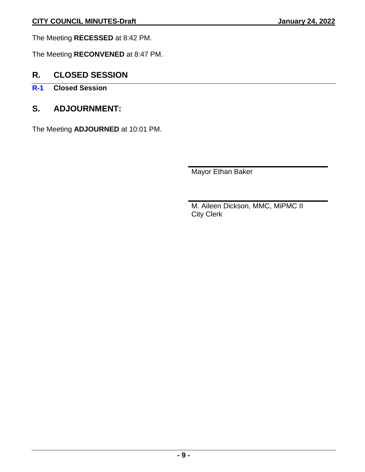The Meeting **RECESSED** at 8:42 PM.

The Meeting **RECONVENED** at 8:47 PM.

# **R. CLOSED SESSION**

- **R-1 Closed Session**
- **S. ADJOURNMENT:**

The Meeting **ADJOURNED** at 10:01 PM.

Mayor Ethan Baker

M. Aileen Dickson, MMC, MiPMC II City Clerk